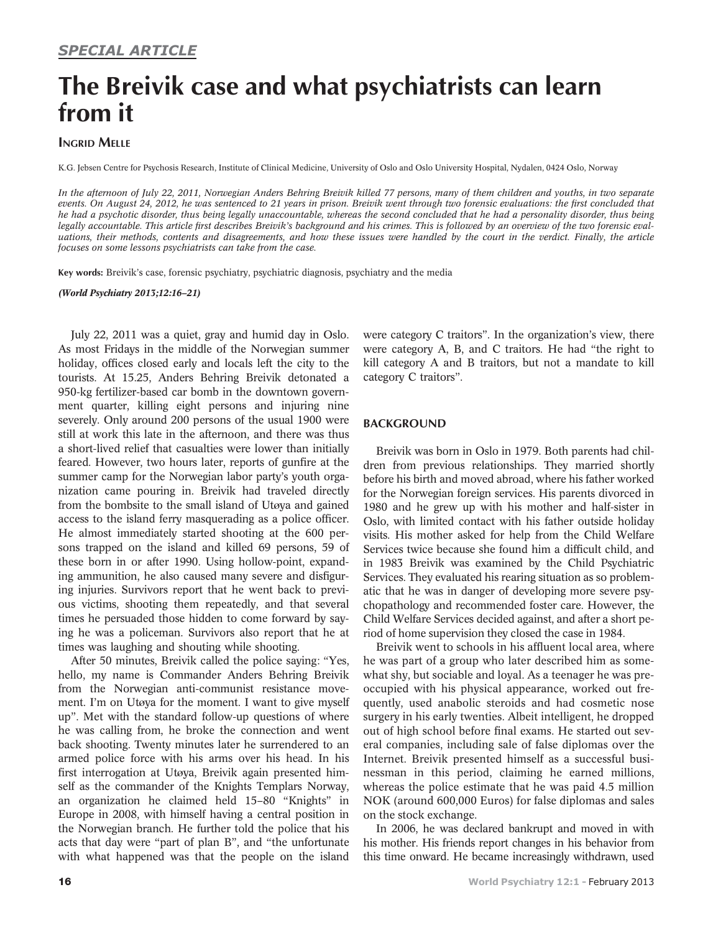# The Breivik case and what psychiatrists can learn from it

## **INGRID MELLE**

K.G. Jebsen Centre for Psychosis Research, Institute of Clinical Medicine, University of Oslo and Oslo University Hospital, Nydalen, 0424 Oslo, Norway

In the afternoon of July 22, 2011, Norwegian Anders Behring Breivik killed 77 persons, many of them children and youths, in two separate events. On August 24, 2012, he was sentenced to 21 years in prison. Breivik went through two forensic evaluations: the first concluded that he had a psychotic disorder, thus being legally unaccountable, whereas the second concluded that he had a personality disorder, thus being legally accountable. This article first describes Breivik's background and his crimes. This is followed by an overview of the two forensic evaluations, their methods, contents and disagreements, and how these issues were handled by the court in the verdict. Finally, the article focuses on some lessons psychiatrists can take from the case.

Key words: Breivik's case, forensic psychiatry, psychiatric diagnosis, psychiatry and the media

#### (World Psychiatry 2013;12:16–21)

July 22, 2011 was a quiet, gray and humid day in Oslo. As most Fridays in the middle of the Norwegian summer holiday, offices closed early and locals left the city to the tourists. At 15.25, Anders Behring Breivik detonated a 950-kg fertilizer-based car bomb in the downtown government quarter, killing eight persons and injuring nine severely. Only around 200 persons of the usual 1900 were still at work this late in the afternoon, and there was thus a short-lived relief that casualties were lower than initially feared. However, two hours later, reports of gunfire at the summer camp for the Norwegian labor party's youth organization came pouring in. Breivik had traveled directly from the bombsite to the small island of Utøya and gained access to the island ferry masquerading as a police officer. He almost immediately started shooting at the 600 persons trapped on the island and killed 69 persons, 59 of these born in or after 1990. Using hollow-point, expanding ammunition, he also caused many severe and disfiguring injuries. Survivors report that he went back to previous victims, shooting them repeatedly, and that several times he persuaded those hidden to come forward by saying he was a policeman. Survivors also report that he at times was laughing and shouting while shooting.

After 50 minutes, Breivik called the police saying: "Yes, hello, my name is Commander Anders Behring Breivik from the Norwegian anti-communist resistance movement. I'm on Utøya for the moment. I want to give myself up". Met with the standard follow-up questions of where he was calling from, he broke the connection and went back shooting. Twenty minutes later he surrendered to an armed police force with his arms over his head. In his first interrogation at Utøya, Breivik again presented himself as the commander of the Knights Templars Norway, an organization he claimed held 15–80 "Knights" in Europe in 2008, with himself having a central position in the Norwegian branch. He further told the police that his acts that day were "part of plan B", and "the unfortunate with what happened was that the people on the island

were category C traitors". In the organization's view, there were category A, B, and C traitors. He had "the right to kill category A and B traitors, but not a mandate to kill category C traitors".

#### BACKGROUND

Breivik was born in Oslo in 1979. Both parents had children from previous relationships. They married shortly before his birth and moved abroad, where his father worked for the Norwegian foreign services. His parents divorced in 1980 and he grew up with his mother and half-sister in Oslo, with limited contact with his father outside holiday visits. His mother asked for help from the Child Welfare Services twice because she found him a difficult child, and in 1983 Breivik was examined by the Child Psychiatric Services. They evaluated his rearing situation as so problematic that he was in danger of developing more severe psychopathology and recommended foster care. However, the Child Welfare Services decided against, and after a short period of home supervision they closed the case in 1984.

Breivik went to schools in his affluent local area, where he was part of a group who later described him as somewhat shy, but sociable and loyal. As a teenager he was preoccupied with his physical appearance, worked out frequently, used anabolic steroids and had cosmetic nose surgery in his early twenties. Albeit intelligent, he dropped out of high school before final exams. He started out several companies, including sale of false diplomas over the Internet. Breivik presented himself as a successful businessman in this period, claiming he earned millions, whereas the police estimate that he was paid 4.5 million NOK (around 600,000 Euros) for false diplomas and sales on the stock exchange.

In 2006, he was declared bankrupt and moved in with his mother. His friends report changes in his behavior from this time onward. He became increasingly withdrawn, used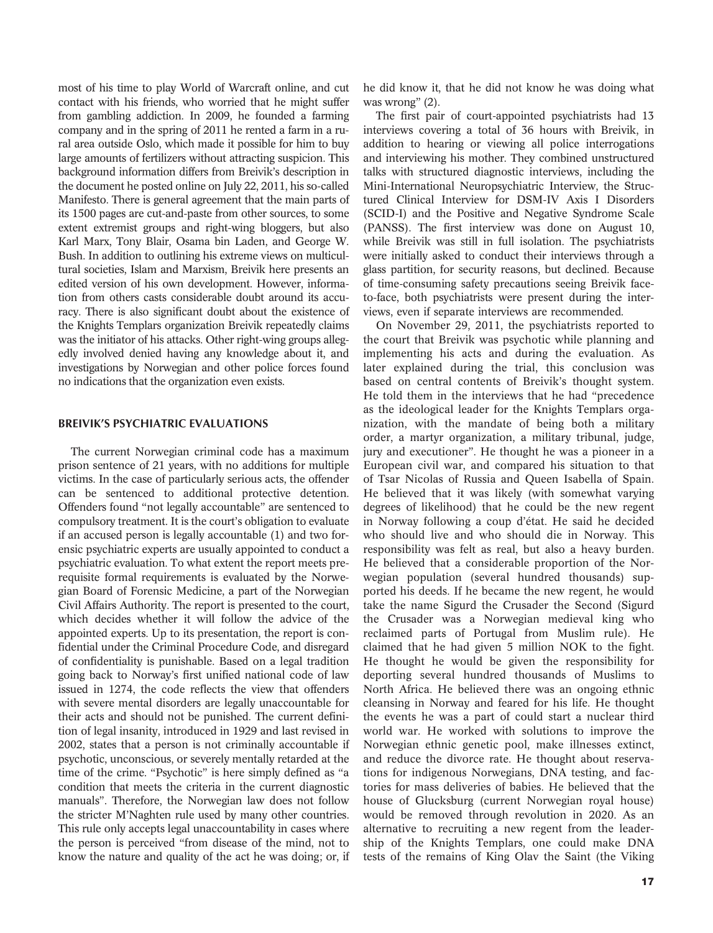most of his time to play World of Warcraft online, and cut contact with his friends, who worried that he might suffer from gambling addiction. In 2009, he founded a farming company and in the spring of 2011 he rented a farm in a rural area outside Oslo, which made it possible for him to buy large amounts of fertilizers without attracting suspicion. This background information differs from Breivik's description in the document he posted online on July 22, 2011, his so-called Manifesto. There is general agreement that the main parts of its 1500 pages are cut-and-paste from other sources, to some extent extremist groups and right-wing bloggers, but also Karl Marx, Tony Blair, Osama bin Laden, and George W. Bush. In addition to outlining his extreme views on multicultural societies, Islam and Marxism, Breivik here presents an edited version of his own development. However, information from others casts considerable doubt around its accuracy. There is also significant doubt about the existence of the Knights Templars organization Breivik repeatedly claims was the initiator of his attacks. Other right-wing groups allegedly involved denied having any knowledge about it, and investigations by Norwegian and other police forces found no indications that the organization even exists.

#### BREIVIK'S PSYCHIATRIC EVALUATIONS

The current Norwegian criminal code has a maximum prison sentence of 21 years, with no additions for multiple victims. In the case of particularly serious acts, the offender can be sentenced to additional protective detention. Offenders found "not legally accountable" are sentenced to compulsory treatment. It is the court's obligation to evaluate if an accused person is legally accountable (1) and two forensic psychiatric experts are usually appointed to conduct a psychiatric evaluation. To what extent the report meets prerequisite formal requirements is evaluated by the Norwegian Board of Forensic Medicine, a part of the Norwegian Civil Affairs Authority. The report is presented to the court, which decides whether it will follow the advice of the appointed experts. Up to its presentation, the report is confidential under the Criminal Procedure Code, and disregard of confidentiality is punishable. Based on a legal tradition going back to Norway's first unified national code of law issued in 1274, the code reflects the view that offenders with severe mental disorders are legally unaccountable for their acts and should not be punished. The current definition of legal insanity, introduced in 1929 and last revised in 2002, states that a person is not criminally accountable if psychotic, unconscious, or severely mentally retarded at the time of the crime. "Psychotic" is here simply defined as "a condition that meets the criteria in the current diagnostic manuals". Therefore, the Norwegian law does not follow the stricter M'Naghten rule used by many other countries. This rule only accepts legal unaccountability in cases where the person is perceived "from disease of the mind, not to know the nature and quality of the act he was doing; or, if he did know it, that he did not know he was doing what was wrong"  $(2)$ .

The first pair of court-appointed psychiatrists had 13 interviews covering a total of 36 hours with Breivik, in addition to hearing or viewing all police interrogations and interviewing his mother. They combined unstructured talks with structured diagnostic interviews, including the Mini-International Neuropsychiatric Interview, the Structured Clinical Interview for DSM-IV Axis I Disorders (SCID-I) and the Positive and Negative Syndrome Scale (PANSS). The first interview was done on August 10, while Breivik was still in full isolation. The psychiatrists were initially asked to conduct their interviews through a glass partition, for security reasons, but declined. Because of time-consuming safety precautions seeing Breivik faceto-face, both psychiatrists were present during the interviews, even if separate interviews are recommended.

On November 29, 2011, the psychiatrists reported to the court that Breivik was psychotic while planning and implementing his acts and during the evaluation. As later explained during the trial, this conclusion was based on central contents of Breivik's thought system. He told them in the interviews that he had "precedence as the ideological leader for the Knights Templars organization, with the mandate of being both a military order, a martyr organization, a military tribunal, judge, jury and executioner". He thought he was a pioneer in a European civil war, and compared his situation to that of Tsar Nicolas of Russia and Queen Isabella of Spain. He believed that it was likely (with somewhat varying degrees of likelihood) that he could be the new regent in Norway following a coup d'état. He said he decided who should live and who should die in Norway. This responsibility was felt as real, but also a heavy burden. He believed that a considerable proportion of the Norwegian population (several hundred thousands) supported his deeds. If he became the new regent, he would take the name Sigurd the Crusader the Second (Sigurd the Crusader was a Norwegian medieval king who reclaimed parts of Portugal from Muslim rule). He claimed that he had given 5 million NOK to the fight. He thought he would be given the responsibility for deporting several hundred thousands of Muslims to North Africa. He believed there was an ongoing ethnic cleansing in Norway and feared for his life. He thought the events he was a part of could start a nuclear third world war. He worked with solutions to improve the Norwegian ethnic genetic pool, make illnesses extinct, and reduce the divorce rate. He thought about reservations for indigenous Norwegians, DNA testing, and factories for mass deliveries of babies. He believed that the house of Glucksburg (current Norwegian royal house) would be removed through revolution in 2020. As an alternative to recruiting a new regent from the leadership of the Knights Templars, one could make DNA tests of the remains of King Olav the Saint (the Viking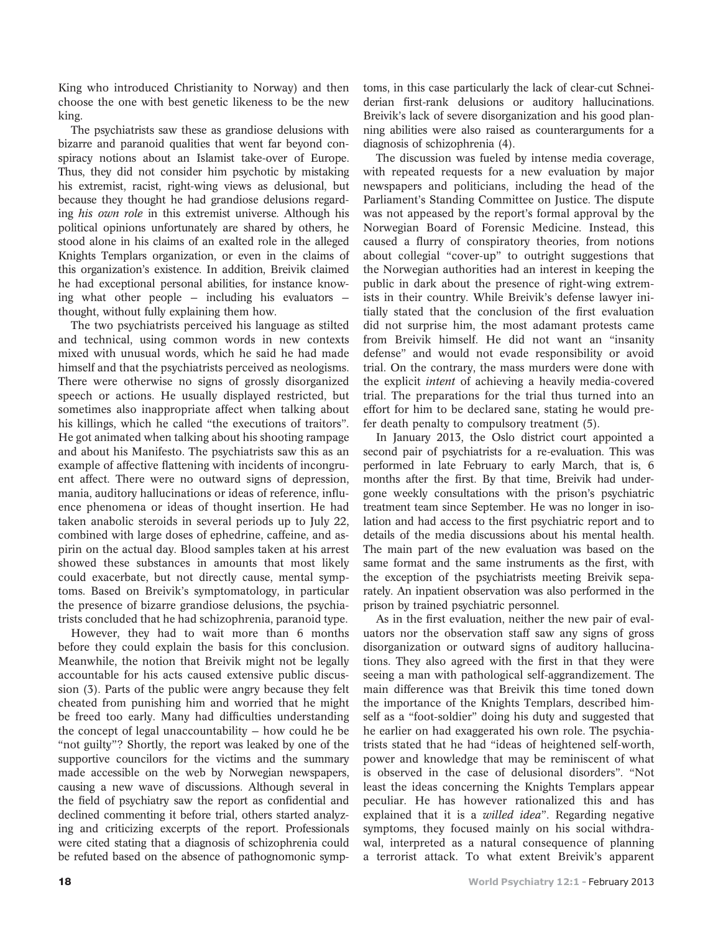King who introduced Christianity to Norway) and then choose the one with best genetic likeness to be the new king.

The psychiatrists saw these as grandiose delusions with bizarre and paranoid qualities that went far beyond conspiracy notions about an Islamist take-over of Europe. Thus, they did not consider him psychotic by mistaking his extremist, racist, right-wing views as delusional, but because they thought he had grandiose delusions regarding his own role in this extremist universe. Although his political opinions unfortunately are shared by others, he stood alone in his claims of an exalted role in the alleged Knights Templars organization, or even in the claims of this organization's existence. In addition, Breivik claimed he had exceptional personal abilities, for instance knowing what other people  $-$  including his evaluators thought, without fully explaining them how.

The two psychiatrists perceived his language as stilted and technical, using common words in new contexts mixed with unusual words, which he said he had made himself and that the psychiatrists perceived as neologisms. There were otherwise no signs of grossly disorganized speech or actions. He usually displayed restricted, but sometimes also inappropriate affect when talking about his killings, which he called "the executions of traitors". He got animated when talking about his shooting rampage and about his Manifesto. The psychiatrists saw this as an example of affective flattening with incidents of incongruent affect. There were no outward signs of depression, mania, auditory hallucinations or ideas of reference, influence phenomena or ideas of thought insertion. He had taken anabolic steroids in several periods up to July 22, combined with large doses of ephedrine, caffeine, and aspirin on the actual day. Blood samples taken at his arrest showed these substances in amounts that most likely could exacerbate, but not directly cause, mental symptoms. Based on Breivik's symptomatology, in particular the presence of bizarre grandiose delusions, the psychiatrists concluded that he had schizophrenia, paranoid type.

However, they had to wait more than 6 months before they could explain the basis for this conclusion. Meanwhile, the notion that Breivik might not be legally accountable for his acts caused extensive public discussion (3). Parts of the public were angry because they felt cheated from punishing him and worried that he might be freed too early. Many had difficulties understanding the concept of legal unaccountability — how could he be "not guilty"? Shortly, the report was leaked by one of the supportive councilors for the victims and the summary made accessible on the web by Norwegian newspapers, causing a new wave of discussions. Although several in the field of psychiatry saw the report as confidential and declined commenting it before trial, others started analyzing and criticizing excerpts of the report. Professionals were cited stating that a diagnosis of schizophrenia could be refuted based on the absence of pathognomonic symptoms, in this case particularly the lack of clear-cut Schneiderian first-rank delusions or auditory hallucinations. Breivik's lack of severe disorganization and his good planning abilities were also raised as counterarguments for a diagnosis of schizophrenia (4).

The discussion was fueled by intense media coverage, with repeated requests for a new evaluation by major newspapers and politicians, including the head of the Parliament's Standing Committee on Justice. The dispute was not appeased by the report's formal approval by the Norwegian Board of Forensic Medicine. Instead, this caused a flurry of conspiratory theories, from notions about collegial "cover-up" to outright suggestions that the Norwegian authorities had an interest in keeping the public in dark about the presence of right-wing extremists in their country. While Breivik's defense lawyer initially stated that the conclusion of the first evaluation did not surprise him, the most adamant protests came from Breivik himself. He did not want an "insanity defense" and would not evade responsibility or avoid trial. On the contrary, the mass murders were done with the explicit *intent* of achieving a heavily media-covered trial. The preparations for the trial thus turned into an effort for him to be declared sane, stating he would prefer death penalty to compulsory treatment (5).

In January 2013, the Oslo district court appointed a second pair of psychiatrists for a re-evaluation. This was performed in late February to early March, that is, 6 months after the first. By that time, Breivik had undergone weekly consultations with the prison's psychiatric treatment team since September. He was no longer in isolation and had access to the first psychiatric report and to details of the media discussions about his mental health. The main part of the new evaluation was based on the same format and the same instruments as the first, with the exception of the psychiatrists meeting Breivik separately. An inpatient observation was also performed in the prison by trained psychiatric personnel.

As in the first evaluation, neither the new pair of evaluators nor the observation staff saw any signs of gross disorganization or outward signs of auditory hallucinations. They also agreed with the first in that they were seeing a man with pathological self-aggrandizement. The main difference was that Breivik this time toned down the importance of the Knights Templars, described himself as a "foot-soldier" doing his duty and suggested that he earlier on had exaggerated his own role. The psychiatrists stated that he had "ideas of heightened self-worth, power and knowledge that may be reminiscent of what is observed in the case of delusional disorders". "Not least the ideas concerning the Knights Templars appear peculiar. He has however rationalized this and has explained that it is a *willed idea*". Regarding negative symptoms, they focused mainly on his social withdrawal, interpreted as a natural consequence of planning a terrorist attack. To what extent Breivik's apparent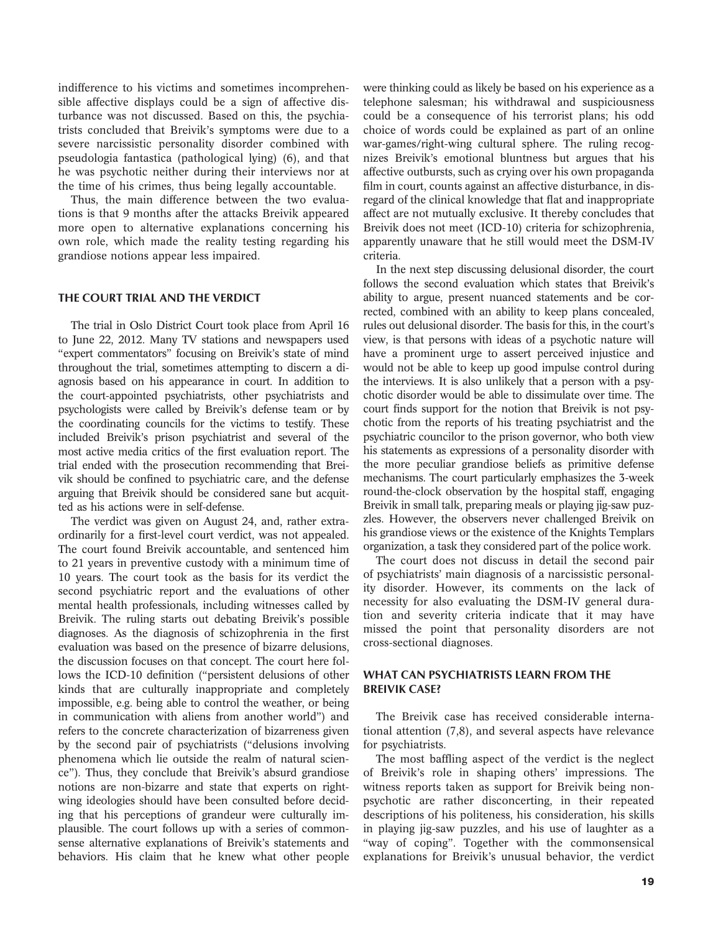indifference to his victims and sometimes incomprehensible affective displays could be a sign of affective disturbance was not discussed. Based on this, the psychiatrists concluded that Breivik's symptoms were due to a severe narcissistic personality disorder combined with pseudologia fantastica (pathological lying) (6), and that he was psychotic neither during their interviews nor at the time of his crimes, thus being legally accountable.

Thus, the main difference between the two evaluations is that 9 months after the attacks Breivik appeared more open to alternative explanations concerning his own role, which made the reality testing regarding his grandiose notions appear less impaired.

#### THE COURT TRIAL AND THE VERDICT

The trial in Oslo District Court took place from April 16 to June 22, 2012. Many TV stations and newspapers used "expert commentators" focusing on Breivik's state of mind throughout the trial, sometimes attempting to discern a diagnosis based on his appearance in court. In addition to the court-appointed psychiatrists, other psychiatrists and psychologists were called by Breivik's defense team or by the coordinating councils for the victims to testify. These included Breivik's prison psychiatrist and several of the most active media critics of the first evaluation report. The trial ended with the prosecution recommending that Breivik should be confined to psychiatric care, and the defense arguing that Breivik should be considered sane but acquitted as his actions were in self-defense.

The verdict was given on August 24, and, rather extraordinarily for a first-level court verdict, was not appealed. The court found Breivik accountable, and sentenced him to 21 years in preventive custody with a minimum time of 10 years. The court took as the basis for its verdict the second psychiatric report and the evaluations of other mental health professionals, including witnesses called by Breivik. The ruling starts out debating Breivik's possible diagnoses. As the diagnosis of schizophrenia in the first evaluation was based on the presence of bizarre delusions, the discussion focuses on that concept. The court here follows the ICD-10 definition ("persistent delusions of other kinds that are culturally inappropriate and completely impossible, e.g. being able to control the weather, or being in communication with aliens from another world") and refers to the concrete characterization of bizarreness given by the second pair of psychiatrists ("delusions involving phenomena which lie outside the realm of natural science"). Thus, they conclude that Breivik's absurd grandiose notions are non-bizarre and state that experts on rightwing ideologies should have been consulted before deciding that his perceptions of grandeur were culturally implausible. The court follows up with a series of commonsense alternative explanations of Breivik's statements and behaviors. His claim that he knew what other people

were thinking could as likely be based on his experience as a telephone salesman; his withdrawal and suspiciousness could be a consequence of his terrorist plans; his odd choice of words could be explained as part of an online war-games/right-wing cultural sphere. The ruling recognizes Breivik's emotional bluntness but argues that his affective outbursts, such as crying over his own propaganda film in court, counts against an affective disturbance, in disregard of the clinical knowledge that flat and inappropriate affect are not mutually exclusive. It thereby concludes that Breivik does not meet (ICD-10) criteria for schizophrenia, apparently unaware that he still would meet the DSM-IV criteria.

In the next step discussing delusional disorder, the court follows the second evaluation which states that Breivik's ability to argue, present nuanced statements and be corrected, combined with an ability to keep plans concealed, rules out delusional disorder. The basis for this, in the court's view, is that persons with ideas of a psychotic nature will have a prominent urge to assert perceived injustice and would not be able to keep up good impulse control during the interviews. It is also unlikely that a person with a psychotic disorder would be able to dissimulate over time. The court finds support for the notion that Breivik is not psychotic from the reports of his treating psychiatrist and the psychiatric councilor to the prison governor, who both view his statements as expressions of a personality disorder with the more peculiar grandiose beliefs as primitive defense mechanisms. The court particularly emphasizes the 3-week round-the-clock observation by the hospital staff, engaging Breivik in small talk, preparing meals or playing jig-saw puzzles. However, the observers never challenged Breivik on his grandiose views or the existence of the Knights Templars organization, a task they considered part of the police work.

The court does not discuss in detail the second pair of psychiatrists' main diagnosis of a narcissistic personality disorder. However, its comments on the lack of necessity for also evaluating the DSM-IV general duration and severity criteria indicate that it may have missed the point that personality disorders are not cross-sectional diagnoses.

### WHAT CAN PSYCHIATRISTS LEARN FROM THE BREIVIK CASE?

The Breivik case has received considerable international attention (7,8), and several aspects have relevance for psychiatrists.

The most baffling aspect of the verdict is the neglect of Breivik's role in shaping others' impressions. The witness reports taken as support for Breivik being nonpsychotic are rather disconcerting, in their repeated descriptions of his politeness, his consideration, his skills in playing jig-saw puzzles, and his use of laughter as a "way of coping". Together with the commonsensical explanations for Breivik's unusual behavior, the verdict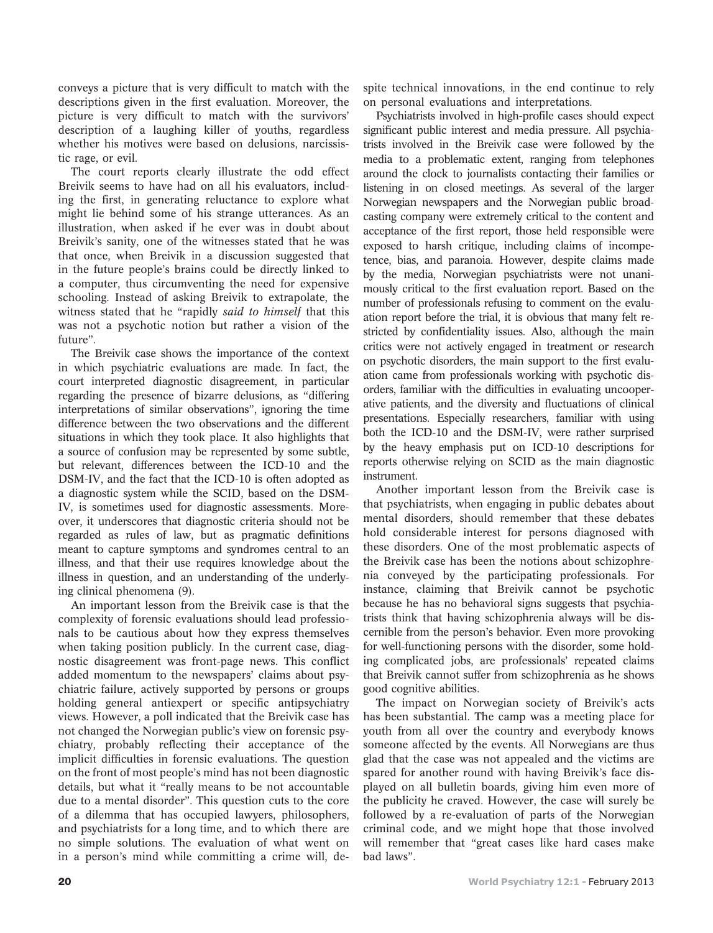conveys a picture that is very difficult to match with the descriptions given in the first evaluation. Moreover, the picture is very difficult to match with the survivors' description of a laughing killer of youths, regardless whether his motives were based on delusions, narcissistic rage, or evil.

The court reports clearly illustrate the odd effect Breivik seems to have had on all his evaluators, including the first, in generating reluctance to explore what might lie behind some of his strange utterances. As an illustration, when asked if he ever was in doubt about Breivik's sanity, one of the witnesses stated that he was that once, when Breivik in a discussion suggested that in the future people's brains could be directly linked to a computer, thus circumventing the need for expensive schooling. Instead of asking Breivik to extrapolate, the witness stated that he "rapidly said to himself that this was not a psychotic notion but rather a vision of the future".

The Breivik case shows the importance of the context in which psychiatric evaluations are made. In fact, the court interpreted diagnostic disagreement, in particular regarding the presence of bizarre delusions, as "differing interpretations of similar observations", ignoring the time difference between the two observations and the different situations in which they took place. It also highlights that a source of confusion may be represented by some subtle, but relevant, differences between the ICD-10 and the DSM-IV, and the fact that the ICD-10 is often adopted as a diagnostic system while the SCID, based on the DSM-IV, is sometimes used for diagnostic assessments. Moreover, it underscores that diagnostic criteria should not be regarded as rules of law, but as pragmatic definitions meant to capture symptoms and syndromes central to an illness, and that their use requires knowledge about the illness in question, and an understanding of the underlying clinical phenomena (9).

An important lesson from the Breivik case is that the complexity of forensic evaluations should lead professionals to be cautious about how they express themselves when taking position publicly. In the current case, diagnostic disagreement was front-page news. This conflict added momentum to the newspapers' claims about psychiatric failure, actively supported by persons or groups holding general antiexpert or specific antipsychiatry views. However, a poll indicated that the Breivik case has not changed the Norwegian public's view on forensic psychiatry, probably reflecting their acceptance of the implicit difficulties in forensic evaluations. The question on the front of most people's mind has not been diagnostic details, but what it "really means to be not accountable due to a mental disorder". This question cuts to the core of a dilemma that has occupied lawyers, philosophers, and psychiatrists for a long time, and to which there are no simple solutions. The evaluation of what went on in a person's mind while committing a crime will, despite technical innovations, in the end continue to rely on personal evaluations and interpretations.

Psychiatrists involved in high-profile cases should expect significant public interest and media pressure. All psychiatrists involved in the Breivik case were followed by the media to a problematic extent, ranging from telephones around the clock to journalists contacting their families or listening in on closed meetings. As several of the larger Norwegian newspapers and the Norwegian public broadcasting company were extremely critical to the content and acceptance of the first report, those held responsible were exposed to harsh critique, including claims of incompetence, bias, and paranoia. However, despite claims made by the media, Norwegian psychiatrists were not unanimously critical to the first evaluation report. Based on the number of professionals refusing to comment on the evaluation report before the trial, it is obvious that many felt restricted by confidentiality issues. Also, although the main critics were not actively engaged in treatment or research on psychotic disorders, the main support to the first evaluation came from professionals working with psychotic disorders, familiar with the difficulties in evaluating uncooperative patients, and the diversity and fluctuations of clinical presentations. Especially researchers, familiar with using both the ICD-10 and the DSM-IV, were rather surprised by the heavy emphasis put on ICD-10 descriptions for reports otherwise relying on SCID as the main diagnostic instrument.

Another important lesson from the Breivik case is that psychiatrists, when engaging in public debates about mental disorders, should remember that these debates hold considerable interest for persons diagnosed with these disorders. One of the most problematic aspects of the Breivik case has been the notions about schizophrenia conveyed by the participating professionals. For instance, claiming that Breivik cannot be psychotic because he has no behavioral signs suggests that psychiatrists think that having schizophrenia always will be discernible from the person's behavior. Even more provoking for well-functioning persons with the disorder, some holding complicated jobs, are professionals' repeated claims that Breivik cannot suffer from schizophrenia as he shows good cognitive abilities.

The impact on Norwegian society of Breivik's acts has been substantial. The camp was a meeting place for youth from all over the country and everybody knows someone affected by the events. All Norwegians are thus glad that the case was not appealed and the victims are spared for another round with having Breivik's face displayed on all bulletin boards, giving him even more of the publicity he craved. However, the case will surely be followed by a re-evaluation of parts of the Norwegian criminal code, and we might hope that those involved will remember that "great cases like hard cases make bad laws".